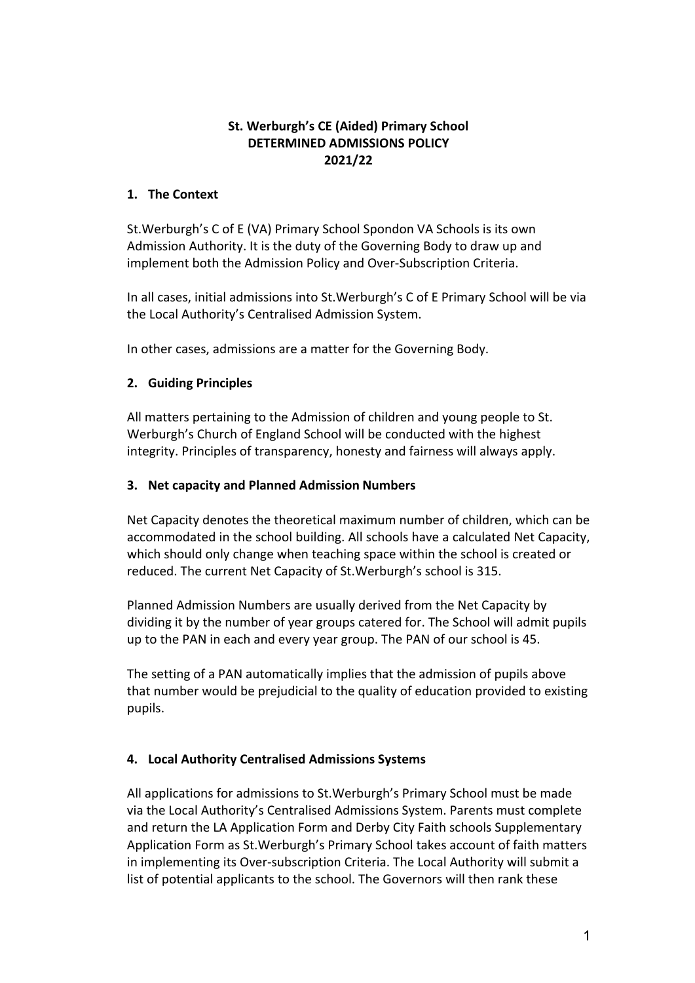## **St. Werburgh's CE (Aided) Primary School DETERMINED ADMISSIONS POLICY 2021/22**

## **1. The Context**

St. Werburgh's C of E (VA) Primary School Spondon VA Schools is its own Admission Authority. It is the duty of the Governing Body to draw up and implement both the Admission Policy and Over-Subscription Criteria.

In all cases, initial admissions into St.Werburgh's C of E Primary School will be via the Local Authority's Centralised Admission System.

In other cases, admissions are a matter for the Governing Body.

## **2. Guiding Principles**

All matters pertaining to the Admission of children and young people to St. Werburgh's Church of England School will be conducted with the highest integrity. Principles of transparency, honesty and fairness will always apply.

#### **3. Net capacity and Planned Admission Numbers**

Net Capacity denotes the theoretical maximum number of children, which can be accommodated in the school building. All schools have a calculated Net Capacity, which should only change when teaching space within the school is created or reduced. The current Net Capacity of St. Werburgh's school is 315.

Planned Admission Numbers are usually derived from the Net Capacity by dividing it by the number of year groups catered for. The School will admit pupils up to the PAN in each and every year group. The PAN of our school is 45.

The setting of a PAN automatically implies that the admission of pupils above that number would be prejudicial to the quality of education provided to existing pupils.

## **4. Local Authority Centralised Admissions Systems**

All applications for admissions to St.Werburgh's Primary School must be made via the Local Authority's Centralised Admissions System. Parents must complete and return the LA Application Form and Derby City Faith schools Supplementary Application Form as St.Werburgh's Primary School takes account of faith matters in implementing its Over-subscription Criteria. The Local Authority will submit a list of potential applicants to the school. The Governors will then rank these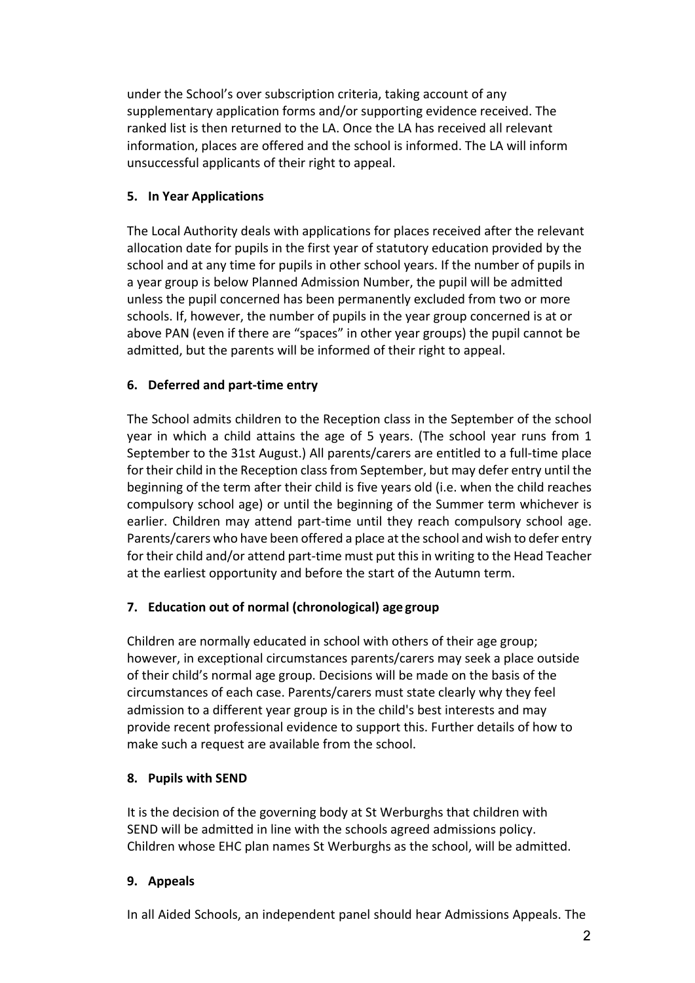under the School's over subscription criteria, taking account of any supplementary application forms and/or supporting evidence received. The ranked list is then returned to the LA. Once the LA has received all relevant information, places are offered and the school is informed. The LA will inform unsuccessful applicants of their right to appeal.

## **5. In Year Applications**

The Local Authority deals with applications for places received after the relevant allocation date for pupils in the first year of statutory education provided by the school and at any time for pupils in other school years. If the number of pupils in a year group is below Planned Admission Number, the pupil will be admitted unless the pupil concerned has been permanently excluded from two or more schools. If, however, the number of pupils in the year group concerned is at or above PAN (even if there are "spaces" in other year groups) the pupil cannot be admitted, but the parents will be informed of their right to appeal.

## **6. Deferred and part-time entry**

The School admits children to the Reception class in the September of the school year in which a child attains the age of 5 years. (The school year runs from 1 September to the 31st August.) All parents/carers are entitled to a full-time place for their child in the Reception class from September, but may defer entry until the beginning of the term after their child is five years old (i.e. when the child reaches compulsory school age) or until the beginning of the Summer term whichever is earlier. Children may attend part-time until they reach compulsory school age. Parents/carers who have been offered a place at the school and wish to defer entry for their child and/or attend part-time must put this in writing to the Head Teacher at the earliest opportunity and before the start of the Autumn term.

# **7. Education out of normal (chronological) age group**

Children are normally educated in school with others of their age group; however, in exceptional circumstances parents/carers may seek a place outside of their child's normal age group. Decisions will be made on the basis of the circumstances of each case. Parents/carers must state clearly why they feel admission to a different year group is in the child's best interests and may provide recent professional evidence to support this. Further details of how to make such a request are available from the school.

## **8. Pupils with SEND**

It is the decision of the governing body at St Werburghs that children with SEND will be admitted in line with the schools agreed admissions policy. Children whose EHC plan names St Werburghs as the school, will be admitted.

## **9. Appeals**

In all Aided Schools, an independent panel should hear Admissions Appeals. The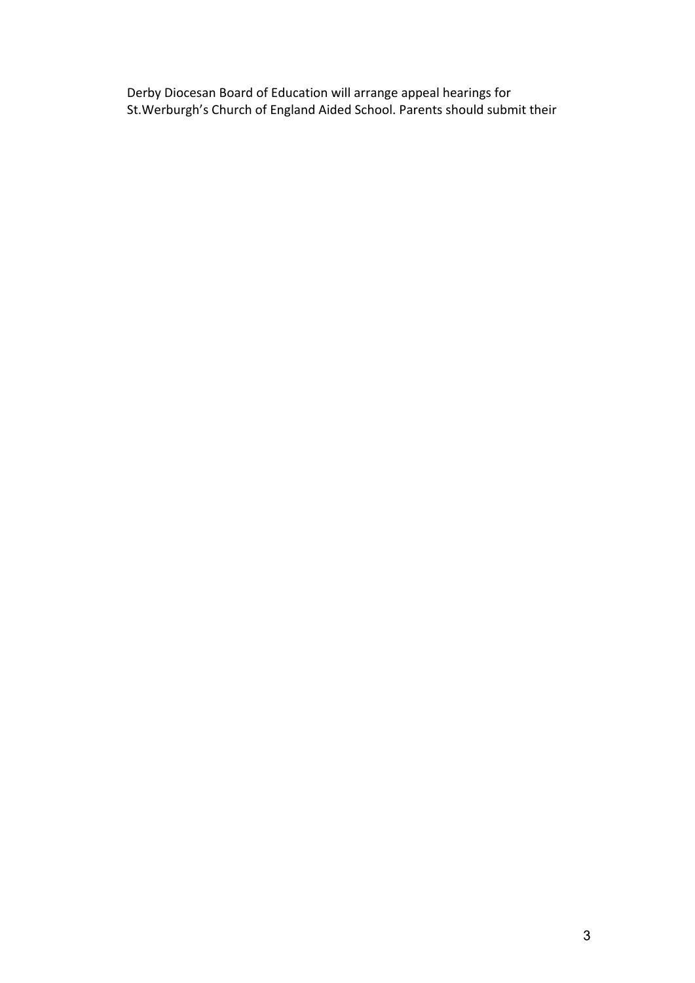Derby Diocesan Board of Education will arrange appeal hearings for St.Werburgh's Church of England Aided School. Parents should submit their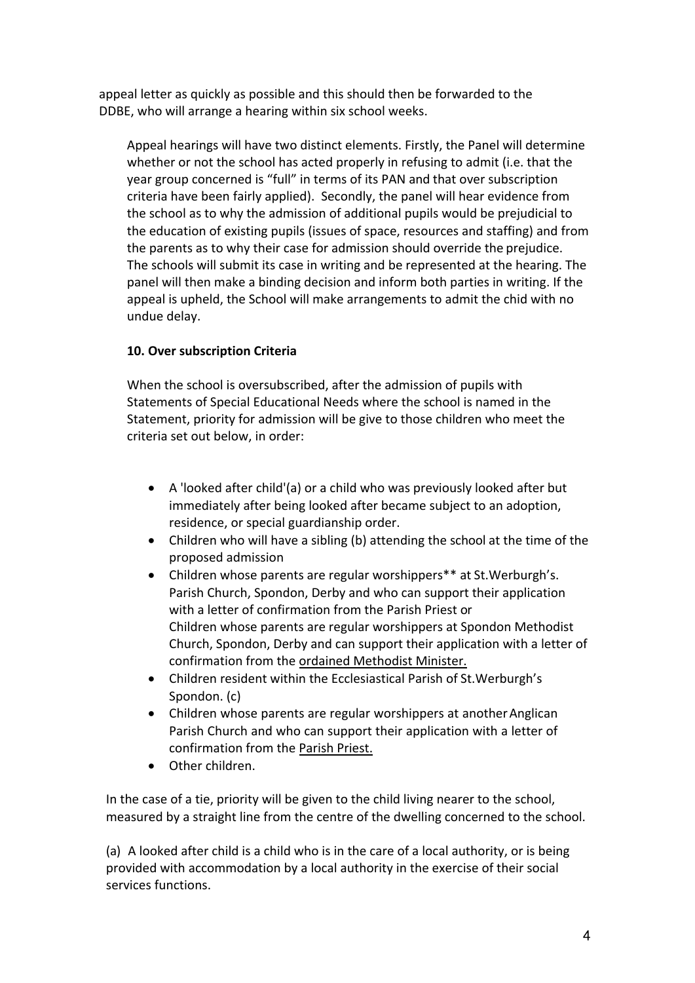appeal letter as quickly as possible and this should then be forwarded to the DDBE, who will arrange a hearing within six school weeks.

Appeal hearings will have two distinct elements. Firstly, the Panel will determine whether or not the school has acted properly in refusing to admit (i.e. that the year group concerned is "full" in terms of its PAN and that over subscription criteria have been fairly applied). Secondly, the panel will hear evidence from the school as to why the admission of additional pupils would be prejudicial to the education of existing pupils (issues of space, resources and staffing) and from the parents as to why their case for admission should override the prejudice. The schools will submit its case in writing and be represented at the hearing. The panel will then make a binding decision and inform both parties in writing. If the appeal is upheld, the School will make arrangements to admit the chid with no undue delay.

## **10. Over subscription Criteria**

When the school is oversubscribed, after the admission of pupils with Statements of Special Educational Needs where the school is named in the Statement, priority for admission will be give to those children who meet the criteria set out below, in order:

- A 'looked after child'(a) or a child who was previously looked after but immediately after being looked after became subject to an adoption, residence, or special guardianship order.
- Children who will have a sibling (b) attending the school at the time of the proposed admission
- Children whose parents are regular worshippers\*\* at St.Werburgh's. Parish Church, Spondon, Derby and who can support their application with a letter of confirmation from the Parish Priest or Children whose parents are regular worshippers at Spondon Methodist Church, Spondon, Derby and can support their application with a letter of confirmation from the ordained Methodist Minister.
- Children resident within the Ecclesiastical Parish of St. Werburgh's Spondon. (c)
- Children whose parents are regular worshippers at another Anglican Parish Church and who can support their application with a letter of confirmation from the Parish Priest.
- Other children.

In the case of a tie, priority will be given to the child living nearer to the school, measured by a straight line from the centre of the dwelling concerned to the school.

(a) A looked after child is a child who is in the care of a local authority, or is being provided with accommodation by a local authority in the exercise of their social services functions.